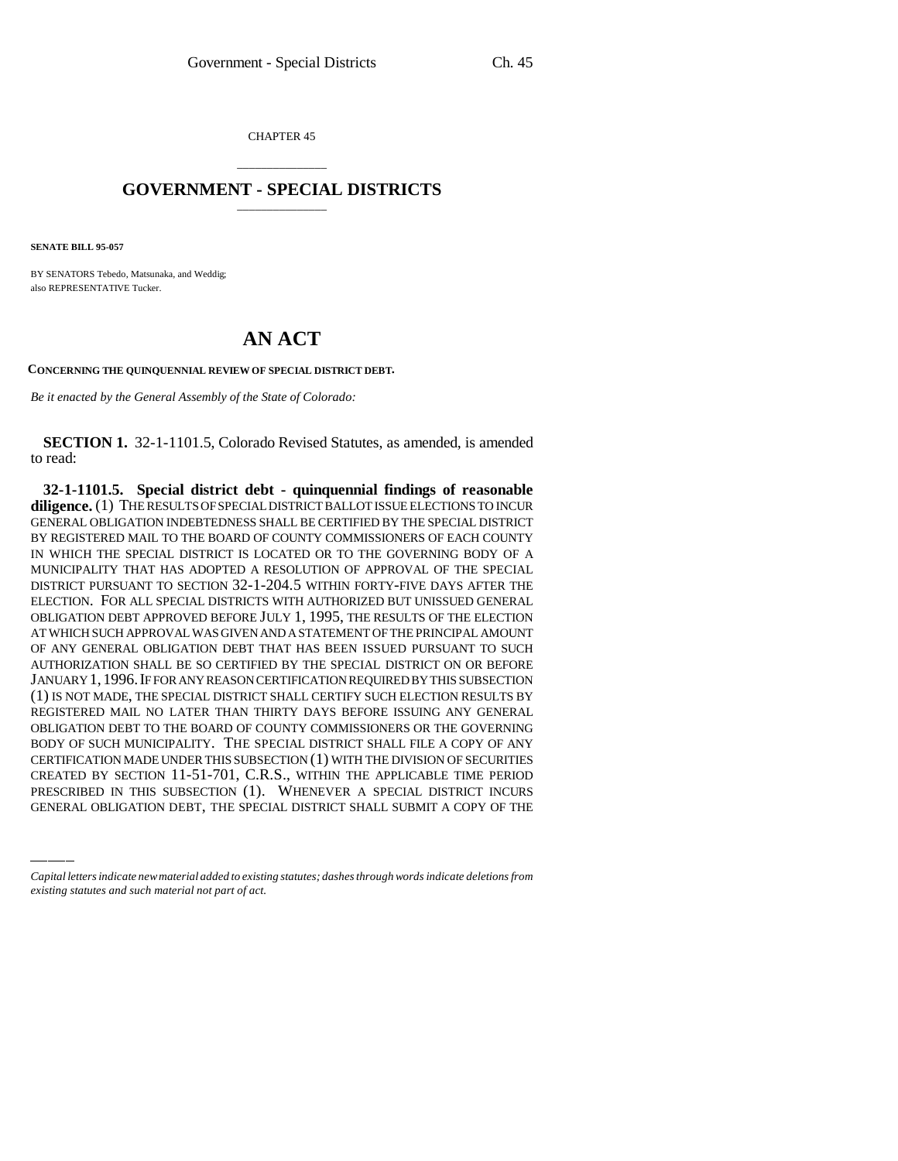CHAPTER 45

## \_\_\_\_\_\_\_\_\_\_\_\_\_\_\_ **GOVERNMENT - SPECIAL DISTRICTS** \_\_\_\_\_\_\_\_\_\_\_\_\_\_\_

**SENATE BILL 95-057**

BY SENATORS Tebedo, Matsunaka, and Weddig; also REPRESENTATIVE Tucker.

# **AN ACT**

**CONCERNING THE QUINQUENNIAL REVIEW OF SPECIAL DISTRICT DEBT.**

*Be it enacted by the General Assembly of the State of Colorado:*

**SECTION 1.** 32-1-1101.5, Colorado Revised Statutes, as amended, is amended to read:

BODY OF SUCH MUNICIPALITY. THE SPECIAL DISTRICT SHALL FILE A COPY OF ANY<br>CERTIFICATION MADE UNDER THIS SUBSECTION (1) WITH THE DIVISION OF SECURITIES **32-1-1101.5. Special district debt - quinquennial findings of reasonable diligence.** (1) THE RESULTS OF SPECIAL DISTRICT BALLOT ISSUE ELECTIONS TO INCUR GENERAL OBLIGATION INDEBTEDNESS SHALL BE CERTIFIED BY THE SPECIAL DISTRICT BY REGISTERED MAIL TO THE BOARD OF COUNTY COMMISSIONERS OF EACH COUNTY IN WHICH THE SPECIAL DISTRICT IS LOCATED OR TO THE GOVERNING BODY OF A MUNICIPALITY THAT HAS ADOPTED A RESOLUTION OF APPROVAL OF THE SPECIAL DISTRICT PURSUANT TO SECTION 32-1-204.5 WITHIN FORTY-FIVE DAYS AFTER THE ELECTION. FOR ALL SPECIAL DISTRICTS WITH AUTHORIZED BUT UNISSUED GENERAL OBLIGATION DEBT APPROVED BEFORE JULY 1, 1995, THE RESULTS OF THE ELECTION AT WHICH SUCH APPROVAL WAS GIVEN AND A STATEMENT OF THE PRINCIPAL AMOUNT OF ANY GENERAL OBLIGATION DEBT THAT HAS BEEN ISSUED PURSUANT TO SUCH AUTHORIZATION SHALL BE SO CERTIFIED BY THE SPECIAL DISTRICT ON OR BEFORE JANUARY 1,1996.IF FOR ANY REASON CERTIFICATION REQUIRED BY THIS SUBSECTION (1) IS NOT MADE, THE SPECIAL DISTRICT SHALL CERTIFY SUCH ELECTION RESULTS BY REGISTERED MAIL NO LATER THAN THIRTY DAYS BEFORE ISSUING ANY GENERAL OBLIGATION DEBT TO THE BOARD OF COUNTY COMMISSIONERS OR THE GOVERNING BODY OF SUCH MUNICIPALITY. THE SPECIAL DISTRICT SHALL FILE A COPY OF ANY CREATED BY SECTION 11-51-701, C.R.S., WITHIN THE APPLICABLE TIME PERIOD PRESCRIBED IN THIS SUBSECTION (1). WHENEVER A SPECIAL DISTRICT INCURS GENERAL OBLIGATION DEBT, THE SPECIAL DISTRICT SHALL SUBMIT A COPY OF THE

*Capital letters indicate new material added to existing statutes; dashes through words indicate deletions from existing statutes and such material not part of act.*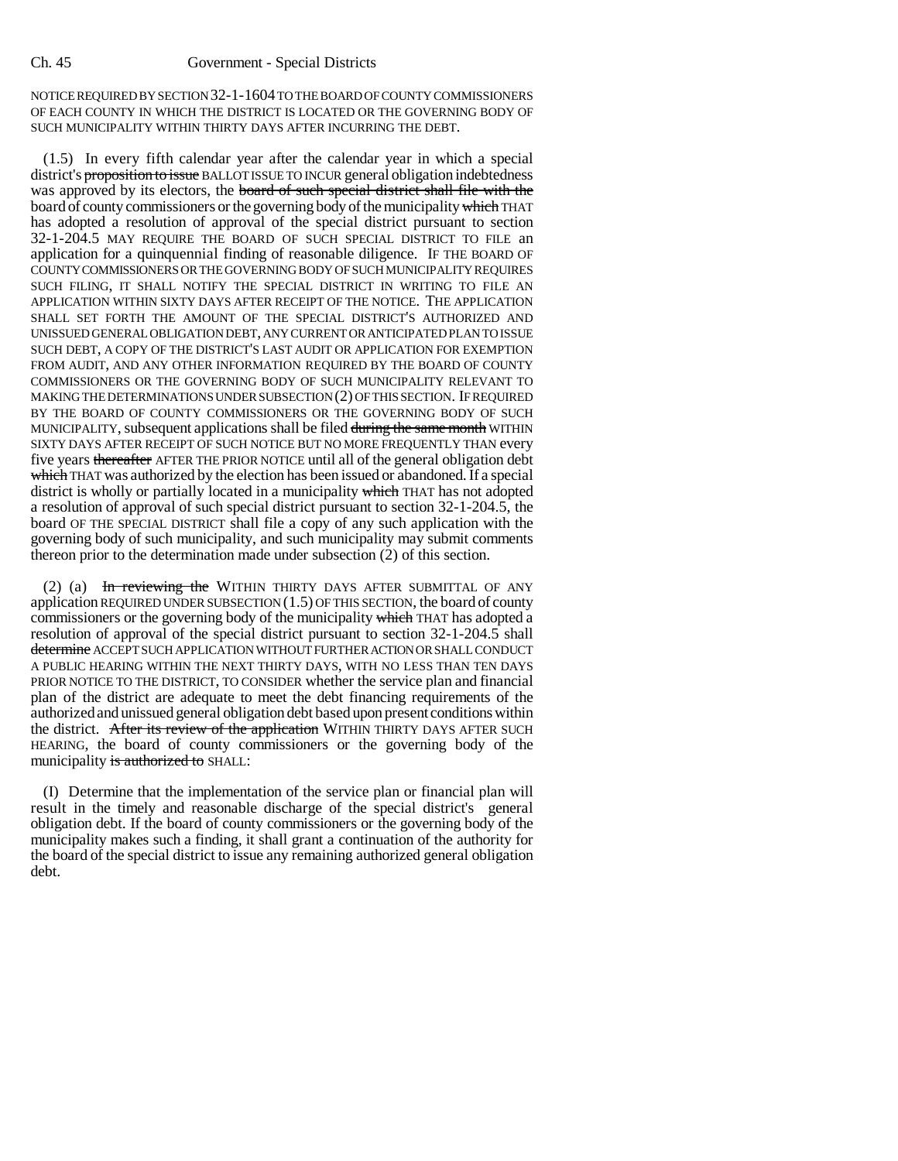#### Ch. 45 Government - Special Districts

NOTICE REQUIRED BY SECTION 32-1-1604 TO THE BOARD OF COUNTY COMMISSIONERS OF EACH COUNTY IN WHICH THE DISTRICT IS LOCATED OR THE GOVERNING BODY OF SUCH MUNICIPALITY WITHIN THIRTY DAYS AFTER INCURRING THE DEBT.

(1.5) In every fifth calendar year after the calendar year in which a special district's **proposition to issue** BALLOT ISSUE TO INCUR general obligation indebtedness was approved by its electors, the board of such special district shall file with the board of county commissioners or the governing body of the municipality which THAT has adopted a resolution of approval of the special district pursuant to section 32-1-204.5 MAY REQUIRE THE BOARD OF SUCH SPECIAL DISTRICT TO FILE an application for a quinquennial finding of reasonable diligence. IF THE BOARD OF COUNTY COMMISSIONERS OR THE GOVERNING BODY OF SUCH MUNICIPALITY REQUIRES SUCH FILING, IT SHALL NOTIFY THE SPECIAL DISTRICT IN WRITING TO FILE AN APPLICATION WITHIN SIXTY DAYS AFTER RECEIPT OF THE NOTICE. THE APPLICATION SHALL SET FORTH THE AMOUNT OF THE SPECIAL DISTRICT'S AUTHORIZED AND UNISSUED GENERAL OBLIGATION DEBT, ANY CURRENT OR ANTICIPATED PLAN TO ISSUE SUCH DEBT, A COPY OF THE DISTRICT'S LAST AUDIT OR APPLICATION FOR EXEMPTION FROM AUDIT, AND ANY OTHER INFORMATION REQUIRED BY THE BOARD OF COUNTY COMMISSIONERS OR THE GOVERNING BODY OF SUCH MUNICIPALITY RELEVANT TO MAKING THE DETERMINATIONS UNDER SUBSECTION (2) OF THIS SECTION. IF REQUIRED BY THE BOARD OF COUNTY COMMISSIONERS OR THE GOVERNING BODY OF SUCH MUNICIPALITY, subsequent applications shall be filed during the same month WITHIN SIXTY DAYS AFTER RECEIPT OF SUCH NOTICE BUT NO MORE FREQUENTLY THAN every five years thereafter AFTER THE PRIOR NOTICE until all of the general obligation debt which THAT was authorized by the election has been issued or abandoned. If a special district is wholly or partially located in a municipality which THAT has not adopted a resolution of approval of such special district pursuant to section 32-1-204.5, the board OF THE SPECIAL DISTRICT shall file a copy of any such application with the governing body of such municipality, and such municipality may submit comments thereon prior to the determination made under subsection (2) of this section.

(2) (a) In reviewing the WITHIN THIRTY DAYS AFTER SUBMITTAL OF ANY application REQUIRED UNDER SUBSECTION  $(1.5)$  OF THIS SECTION, the board of county commissioners or the governing body of the municipality which THAT has adopted a resolution of approval of the special district pursuant to section 32-1-204.5 shall determine ACCEPT SUCH APPLICATION WITHOUT FURTHER ACTION OR SHALL CONDUCT A PUBLIC HEARING WITHIN THE NEXT THIRTY DAYS, WITH NO LESS THAN TEN DAYS PRIOR NOTICE TO THE DISTRICT, TO CONSIDER whether the service plan and financial plan of the district are adequate to meet the debt financing requirements of the authorized and unissued general obligation debt based upon present conditions within the district. After its review of the application WITHIN THIRTY DAYS AFTER SUCH HEARING, the board of county commissioners or the governing body of the municipality is authorized to SHALL:

(I) Determine that the implementation of the service plan or financial plan will result in the timely and reasonable discharge of the special district's general obligation debt. If the board of county commissioners or the governing body of the municipality makes such a finding, it shall grant a continuation of the authority for the board of the special district to issue any remaining authorized general obligation debt.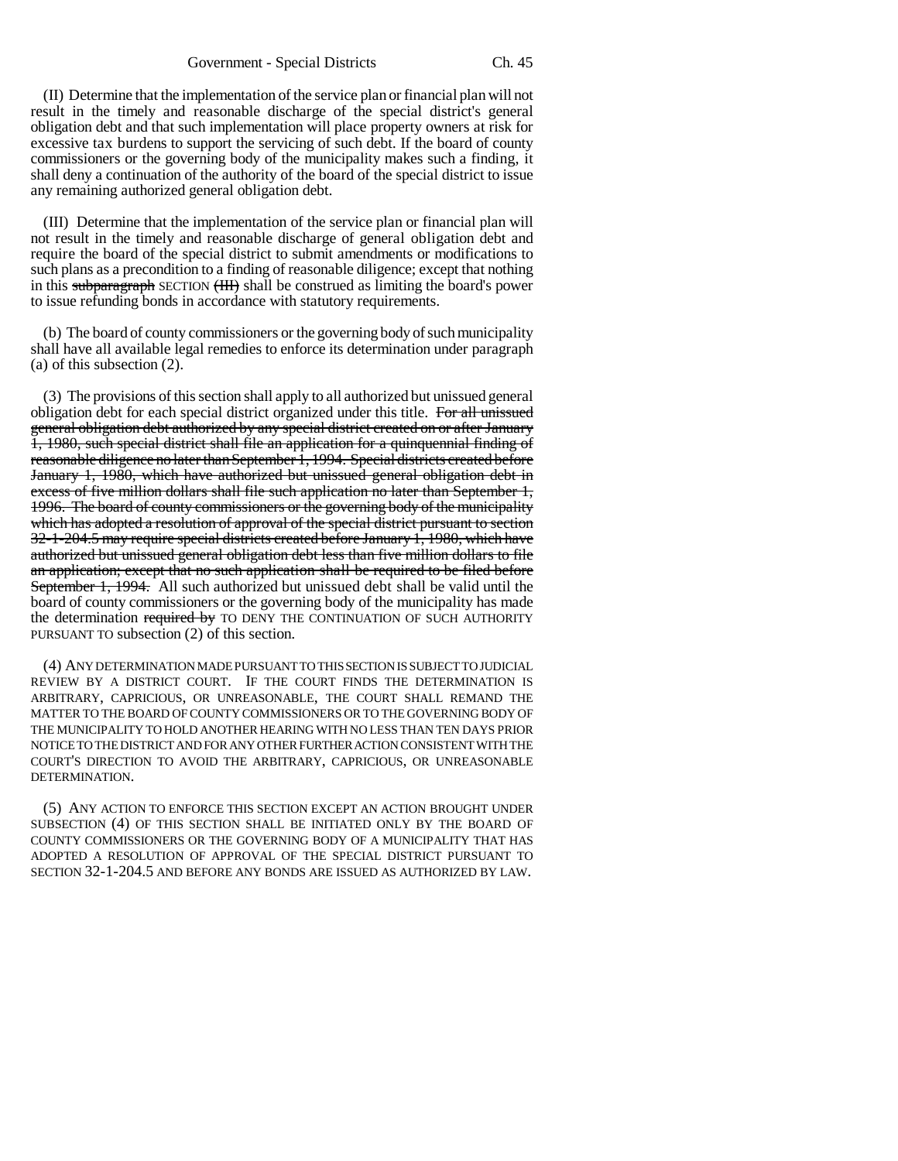#### Government - Special Districts Ch. 45

(II) Determine that the implementation of the service plan or financial plan will not result in the timely and reasonable discharge of the special district's general obligation debt and that such implementation will place property owners at risk for excessive tax burdens to support the servicing of such debt. If the board of county commissioners or the governing body of the municipality makes such a finding, it shall deny a continuation of the authority of the board of the special district to issue any remaining authorized general obligation debt.

(III) Determine that the implementation of the service plan or financial plan will not result in the timely and reasonable discharge of general obligation debt and require the board of the special district to submit amendments or modifications to such plans as a precondition to a finding of reasonable diligence; except that nothing in this subparagraph SECTION (HH) shall be construed as limiting the board's power to issue refunding bonds in accordance with statutory requirements.

(b) The board of county commissioners or the governing body of such municipality shall have all available legal remedies to enforce its determination under paragraph (a) of this subsection (2).

(3) The provisions of this section shall apply to all authorized but unissued general obligation debt for each special district organized under this title. For all unissued general obligation debt authorized by any special district created on or after January 1, 1980, such special district shall file an application for a quinquennial finding of reasonable diligence no later than September 1, 1994. Special districts created before January 1, 1980, which have authorized but unissued general obligation debt in excess of five million dollars shall file such application no later than September 1, 1996. The board of county commissioners or the governing body of the municipality which has adopted a resolution of approval of the special district pursuant to section 32-1-204.5 may require special districts created before January 1, 1980, which have authorized but unissued general obligation debt less than five million dollars to file an application; except that no such application shall be required to be filed before September 1, 1994. All such authorized but unissued debt shall be valid until the board of county commissioners or the governing body of the municipality has made the determination required by TO DENY THE CONTINUATION OF SUCH AUTHORITY PURSUANT TO subsection (2) of this section.

(4) ANY DETERMINATION MADE PURSUANT TO THIS SECTION IS SUBJECT TO JUDICIAL REVIEW BY A DISTRICT COURT. IF THE COURT FINDS THE DETERMINATION IS ARBITRARY, CAPRICIOUS, OR UNREASONABLE, THE COURT SHALL REMAND THE MATTER TO THE BOARD OF COUNTY COMMISSIONERS OR TO THE GOVERNING BODY OF THE MUNICIPALITY TO HOLD ANOTHER HEARING WITH NO LESS THAN TEN DAYS PRIOR NOTICE TO THE DISTRICT AND FOR ANY OTHER FURTHER ACTION CONSISTENT WITH THE COURT'S DIRECTION TO AVOID THE ARBITRARY, CAPRICIOUS, OR UNREASONABLE DETERMINATION.

(5) ANY ACTION TO ENFORCE THIS SECTION EXCEPT AN ACTION BROUGHT UNDER SUBSECTION (4) OF THIS SECTION SHALL BE INITIATED ONLY BY THE BOARD OF COUNTY COMMISSIONERS OR THE GOVERNING BODY OF A MUNICIPALITY THAT HAS ADOPTED A RESOLUTION OF APPROVAL OF THE SPECIAL DISTRICT PURSUANT TO SECTION 32-1-204.5 AND BEFORE ANY BONDS ARE ISSUED AS AUTHORIZED BY LAW.